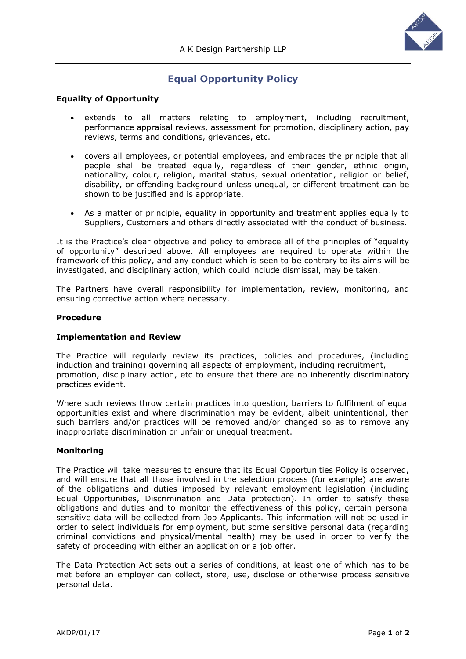

# **Equal Opportunity Policy**

## **Equality of Opportunity**

- extends to all matters relating to employment, including recruitment, performance appraisal reviews, assessment for promotion, disciplinary action, pay reviews, terms and conditions, grievances, etc.
- covers all employees, or potential employees, and embraces the principle that all people shall be treated equally, regardless of their gender, ethnic origin, nationality, colour, religion, marital status, sexual orientation, religion or belief, disability, or offending background unless unequal, or different treatment can be shown to be justified and is appropriate.
- As a matter of principle, equality in opportunity and treatment applies equally to Suppliers, Customers and others directly associated with the conduct of business.

It is the Practice's clear objective and policy to embrace all of the principles of "equality of opportunity" described above. All employees are required to operate within the framework of this policy, and any conduct which is seen to be contrary to its aims will be investigated, and disciplinary action, which could include dismissal, may be taken.

The Partners have overall responsibility for implementation, review, monitoring, and ensuring corrective action where necessary.

### **Procedure**

#### **Implementation and Review**

The Practice will regularly review its practices, policies and procedures, (including induction and training) governing all aspects of employment, including recruitment, promotion, disciplinary action, etc to ensure that there are no inherently discriminatory practices evident.

Where such reviews throw certain practices into question, barriers to fulfilment of equal opportunities exist and where discrimination may be evident, albeit unintentional, then such barriers and/or practices will be removed and/or changed so as to remove any inappropriate discrimination or unfair or unequal treatment.

#### **Monitoring**

The Practice will take measures to ensure that its Equal Opportunities Policy is observed, and will ensure that all those involved in the selection process (for example) are aware of the obligations and duties imposed by relevant employment legislation (including Equal Opportunities, Discrimination and Data protection). In order to satisfy these obligations and duties and to monitor the effectiveness of this policy, certain personal sensitive data will be collected from Job Applicants. This information will not be used in order to select individuals for employment, but some sensitive personal data (regarding criminal convictions and physical/mental health) may be used in order to verify the safety of proceeding with either an application or a job offer.

The Data Protection Act sets out a series of conditions, at least one of which has to be met before an employer can collect, store, use, disclose or otherwise process sensitive personal data.